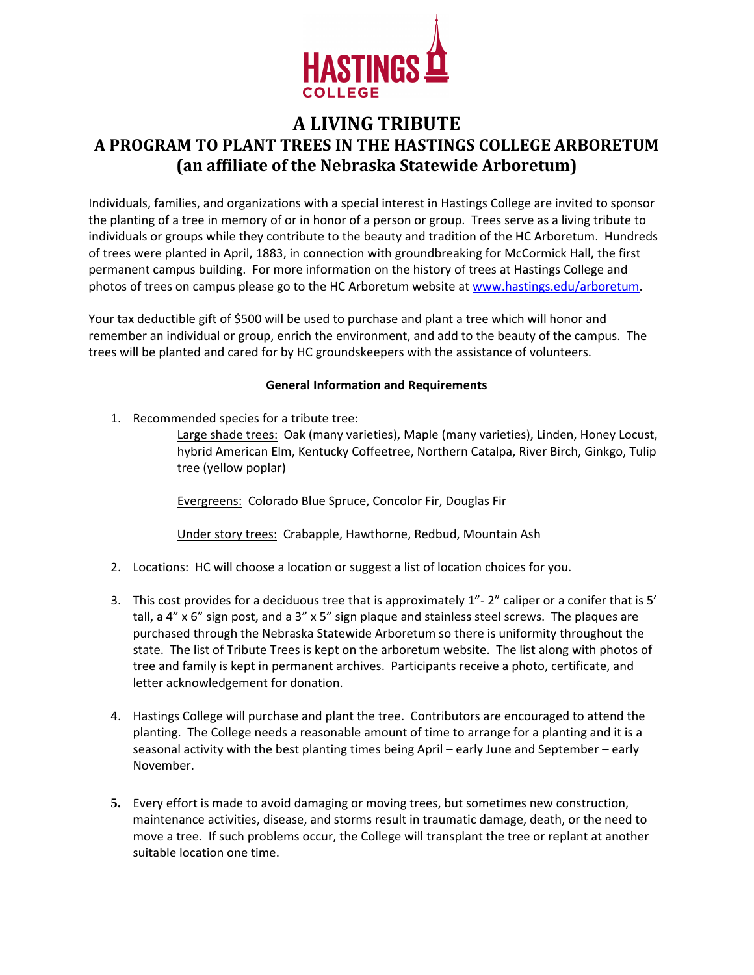

## **A LIVING TRIBUTE A PROGRAM TO PLANT TREES IN THE HASTINGS COLLEGE ARBORETUM (an affiliate of the Nebraska Statewide Arboretum)**

Individuals, families, and organizations with a special interest in Hastings College are invited to sponsor the planting of a tree in memory of or in honor of a person or group. Trees serve as a living tribute to individuals or groups while they contribute to the beauty and tradition of the HC Arboretum. Hundreds of trees were planted in April, 1883, in connection with groundbreaking for McCormick Hall, the first permanent campus building. For more information on the history of trees at Hastings College and photos of trees on campus please go to the HC Arboretum website at [www.hastings.edu/arboretum](http://www.hastings.edu/arboretum).

Your tax deductible gift of \$500 will be used to purchase and plant a tree which will honor and remember an individual or group, enrich the environment, and add to the beauty of the campus. The trees will be planted and cared for by HC groundskeepers with the assistance of volunteers.

## **General Information and Requirements**

1. Recommended species for a tribute tree:

Large shade trees: Oak (many varieties), Maple (many varieties), Linden, Honey Locust, hybrid American Elm, Kentucky Coffeetree, Northern Catalpa, River Birch, Ginkgo, Tulip tree (yellow poplar)

Evergreens: Colorado Blue Spruce, Concolor Fir, Douglas Fir

Under story trees: Crabapple, Hawthorne, Redbud, Mountain Ash

- 2. Locations: HC will choose a location or suggest a list of location choices for you.
- 3. This cost provides for a deciduous tree that is approximately 1"‐ 2" caliper or a conifer that is 5' tall, a 4" x 6" sign post, and a 3" x 5" sign plaque and stainless steel screws. The plaques are purchased through the Nebraska Statewide Arboretum so there is uniformity throughout the state. The list of Tribute Trees is kept on the arboretum website. The list along with photos of tree and family is kept in permanent archives. Participants receive a photo, certificate, and letter acknowledgement for donation.
- 4. Hastings College will purchase and plant the tree. Contributors are encouraged to attend the planting. The College needs a reasonable amount of time to arrange for a planting and it is a seasonal activity with the best planting times being April – early June and September – early November.
- **5.** Every effort is made to avoid damaging or moving trees, but sometimes new construction, maintenance activities, disease, and storms result in traumatic damage, death, or the need to move a tree. If such problems occur, the College will transplant the tree or replant at another suitable location one time.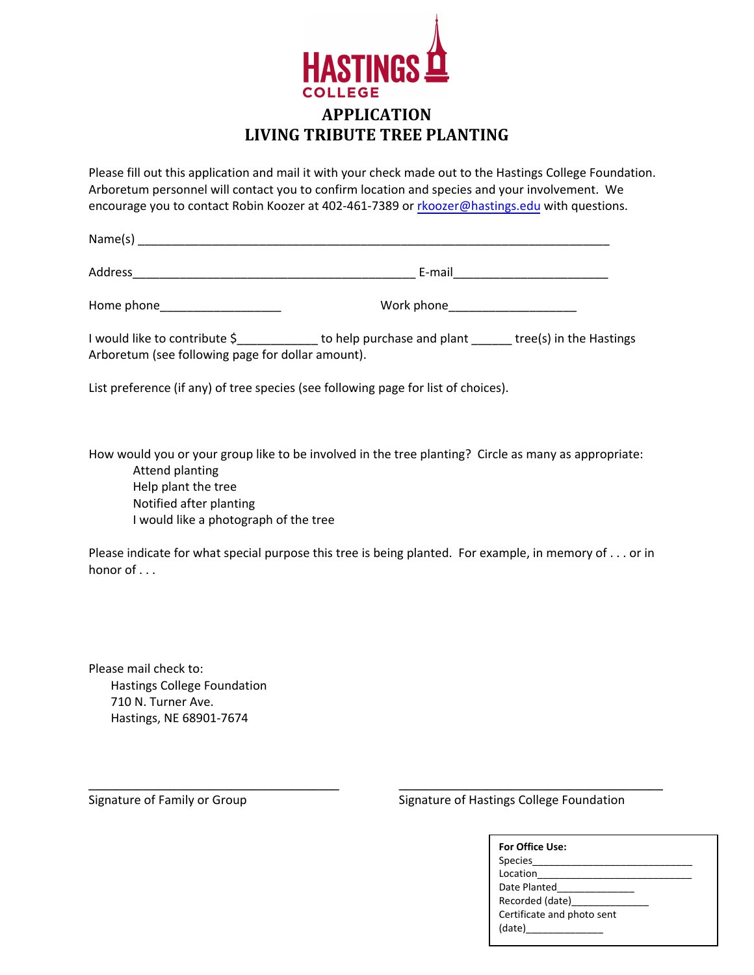

## **APPLICATION LIVING TRIBUTE TREE PLANTING**

Please fill out this application and mail it with your check made out to the Hastings College Foundation. Arboretum personnel will contact you to confirm location and species and your involvement. We encourage you to contact Robin Koozer at 402-461-7389 or [rkoozer@hastings.edu](mailto:mfong@hastings.edu) with questions.

Name(s) \_\_\_\_\_\_\_\_\_\_\_\_\_\_\_\_\_\_\_\_\_\_\_\_\_\_\_\_\_\_\_\_\_\_\_\_\_\_\_\_\_\_\_\_\_\_\_\_\_\_\_\_\_\_\_\_\_\_\_\_\_\_\_\_\_\_\_\_\_\_

Address **Address Address E**-mail

Home phone work phone work phone

I would like to contribute \$\_\_\_\_\_\_\_\_\_\_\_\_\_\_\_ to help purchase and plant \_\_\_\_\_\_\_ tree(s) in the Hastings Arboretum (see following page for dollar amount).

List preference (if any) of tree species (see following page for list of choices).

How would you or your group like to be involved in the tree planting? Circle as many as appropriate: Attend planting Help plant the tree Notified after planting I would like a photograph of the tree

Please indicate for what special purpose this tree is being planted. For example, in memory of . . . or in honor of . . .

Please mail check to: Hastings College Foundation 710 N. Turner Ave. Hastings, NE 68901‐7674

**\_\_\_\_\_\_\_\_\_\_\_\_\_\_\_\_\_\_\_\_\_\_\_\_\_\_\_\_\_\_\_\_\_\_\_\_\_ \_\_\_\_\_\_\_\_\_\_\_\_\_\_\_\_\_\_\_\_\_\_\_\_\_\_\_\_\_\_\_\_\_\_\_\_\_\_\_**  Signature of Family or Group **Signature of Hastings College Foundation** 

| For Office Use:            |
|----------------------------|
| Species_______             |
| Location                   |
| Date Planted               |
| Recorded (date)            |
| Certificate and photo sent |
|                            |